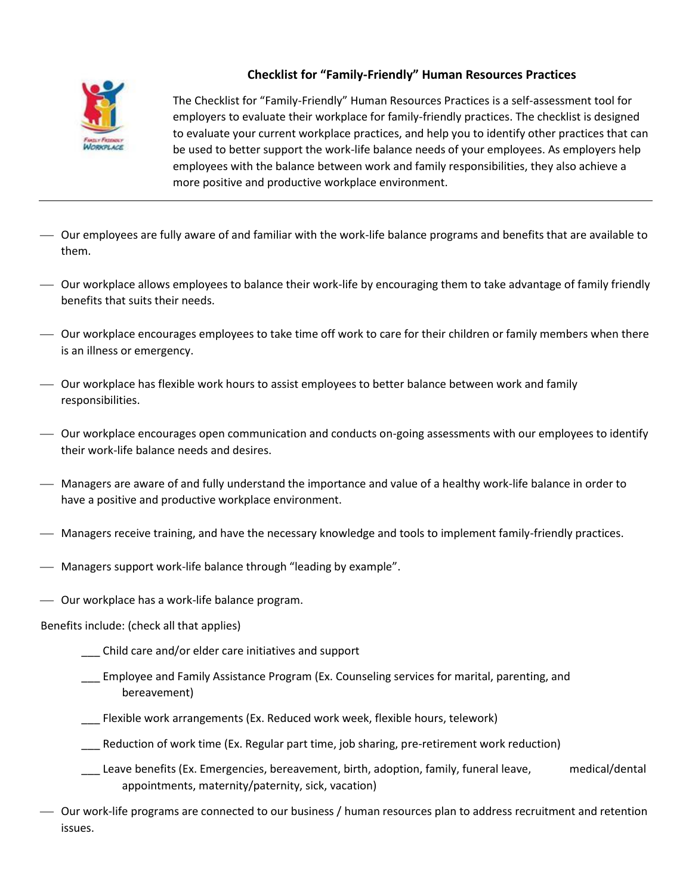

## **Checklist for "Family-Friendly" Human Resources Practices**

The Checklist for "Family-Friendly" Human Resources Practices is a self-assessment tool for employers to evaluate their workplace for family-friendly practices. The checklist is designed to evaluate your current workplace practices, and help you to identify other practices that can be used to better support the work-life balance needs of your employees. As employers help employees with the balance between work and family responsibilities, they also achieve a more positive and productive workplace environment.

- Our employees are fully aware of and familiar with the work-life balance programs and benefits that are available to them.
- Our workplace allows employees to balance their work-life by encouraging them to take advantage of family friendly benefits that suits their needs.
- Our workplace encourages employees to take time off work to care for their children or family members when there is an illness or emergency.
- Our workplace has flexible work hours to assist employees to better balance between work and family responsibilities.
- Our workplace encourages open communication and conducts on-going assessments with our employees to identify their work-life balance needs and desires.
- Managers are aware of and fully understand the importance and value of a healthy work-life balance in order to have a positive and productive workplace environment.
- Managers receive training, and have the necessary knowledge and tools to implement family-friendly practices.
- Managers support work-life balance through "leading by example".
- Our workplace has a work-life balance program.

#### Benefits include: (check all that applies)

- \_\_\_ Child care and/or elder care initiatives and support
- \_\_\_ Employee and Family Assistance Program (Ex. Counseling services for marital, parenting, and bereavement)
- \_\_\_ Flexible work arrangements (Ex. Reduced work week, flexible hours, telework)
- \_\_\_ Reduction of work time (Ex. Regular part time, job sharing, pre-retirement work reduction)
- \_\_\_ Leave benefits (Ex. Emergencies, bereavement, birth, adoption, family, funeral leave, medical/dental appointments, maternity/paternity, sick, vacation)
- Our work-life programs are connected to our business / human resources plan to address recruitment and retention issues.